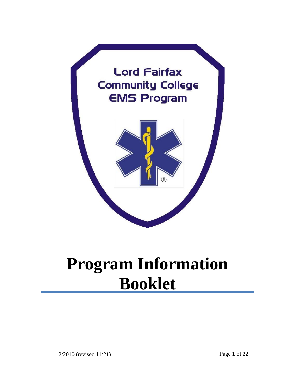

# **Program Information Booklet**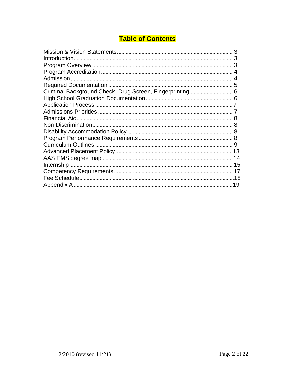# **Table of Contents**

| З |
|---|
|   |
|   |
|   |
|   |
|   |
|   |
|   |
|   |
|   |
|   |
|   |
|   |
|   |
|   |
|   |
|   |
|   |
|   |
|   |
|   |
|   |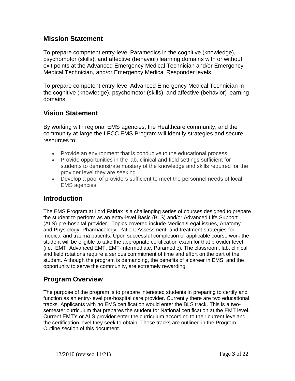## **Mission Statement**

To prepare competent entry-level Paramedics in the cognitive (knowledge), psychomotor (skills), and affective (behavior) learning domains with or without exit points at the Advanced Emergency Medical Technician and/or Emergency Medical Technician, and/or Emergency Medical Responder levels.

To prepare competent entry-level Advanced Emergency Medical Technician in the cognitive (knowledge), psychomotor (skills), and affective (behavior) learning domains.

## **Vision Statement**

By working with regional EMS agencies, the Healthcare community, and the community at-large the LFCC EMS Program will identify strategies and secure resources to:

- Provide an environment that is conducive to the educational process
- Provide opportunities in the lab, clinical and field settings sufficient for students to demonstrate mastery of the knowledge and skills required for the provider level they are seeking
- Develop a pool of providers sufficient to meet the personnel needs of local EMS agencies

## <span id="page-2-0"></span>**Introduction**

The EMS Program at Lord Fairfax is a challenging series of courses designed to prepare the student to perform as an entry-level Basic (BLS) and/or Advanced Life Support (ALS) pre-hospital provider. Topics covered include Medical/Legal issues, Anatomy and Physiology, Pharmacology, Patient Assessment, and treatment strategies for medical and trauma patients. Upon successful completion of applicable course work the student will be eligible to take the appropriate certification exam for that provider level (i.e., EMT, Advanced EMT, EMT-Intermediate, Paramedic). The classroom, lab, clinical and field rotations require a serious commitment of time and effort on the part of the student. Although the program is demanding, the benefits of a career in EMS, and the opportunity to serve the community, are extremely rewarding.

# <span id="page-2-1"></span>**Program Overview**

The purpose of the program is to prepare interested students in preparing to certify and function as an entry-level pre-hospital care provider. Currently there are two educational tracks. Applicants with no EMS certification would enter the BLS track. This is a twosemester curriculum that prepares the student for National certification at the EMT level. Current EMT's or ALS provider enter the curriculum according to their current leveland the certification level they seek to obtain. These tracks are outlined in the Program Outline section of this document.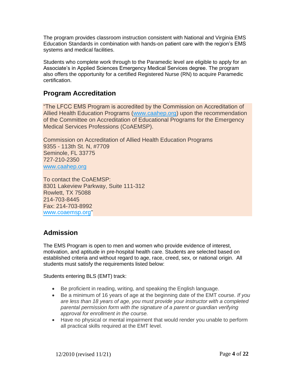The program provides classroom instruction consistent with National and Virginia EMS Education Standards in combination with hands-on patient care with the region's EMS systems and medical facilities.

Students who complete work through to the Paramedic level are eligible to apply for an Associate's in Applied Sciences Emergency Medical Services degree. The program also offers the opportunity for a certified Registered Nurse (RN) to acquire Paramedic certification.

## <span id="page-3-0"></span>**Program Accreditation**

"The LFCC EMS Program is accredited by the Commission on Accreditation of Allied Health Education Programs (www.caahep.org) upon the recommendation of the Committee on Accreditation of Educational Programs for the Emergency Medical Services Professions (CoAEMSP).

Commission on Accreditation of Allied Health Education Programs 9355 - 113th St. N, #7709 Seminole, FL 33775 727-210-2350 [www.caahep.org](http://www.caahep.org/)

To contact the CoAEMSP: 8301 Lakeview Parkway, Suite 111-312 Rowlett, TX 75088 214-703-8445 Fax: 214-703-8992 [www.coaemsp.org"](http://www.coaemsp.org/)

## <span id="page-3-1"></span>**Admission**

The EMS Program is open to men and women who provide evidence of interest, motivation, and aptitude in pre-hospital health care. Students are selected based on established criteria and without regard to age, race, creed, sex, or national origin. All students must satisfy the requirements listed below:

Students entering BLS (EMT) track:

- Be proficient in reading, writing, and speaking the English language.
- Be a minimum of 16 years of age at the beginning date of the EMT course. *If you are less than 18 years of age, you must provide your instructor with a completed parental permission form with the signature of a parent or guardian verifying approval for enrollment in the course.*
- Have no physical or mental impairment that would render you unable to perform all practical skills required at the EMT level.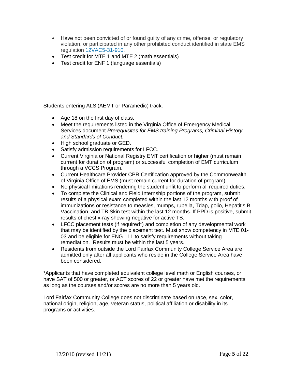- Have not been convicted of or found guilty of any crime, offense, or regulatory violation, or participated in any other prohibited conduct identified in state EMS regulation 12VAC5-31-910.
- Test credit for MTE 1 and MTE 2 (math essentials)
- Test credit for ENF 1 (language essentials)

Students entering ALS (AEMT or Paramedic) track.

- Age 18 on the first day of class.
- Meet the requirements listed in the Virginia Office of Emergency Medical Services document *Prerequisites for EMS training Programs, Criminal History and Standards of Conduct.*
- High school graduate or GED.
- Satisfy admission requirements for LFCC.
- Current Virginia or National Registry EMT certification or higher (must remain current for duration of program) or successful completion of EMT curriculum through a VCCS Program.
- Current Healthcare Provider CPR Certification approved by the Commonwealth of Virginia Office of EMS (must remain current for duration of program).
- No physical limitations rendering the student unfit to perform all required duties.
- To complete the Clinical and Field Internship portions of the program, submit results of a physical exam completed within the last 12 months with proof of immunizations or resistance to measles, mumps, rubella, Tdap, polio, Hepatitis B Vaccination, and TB Skin test within the last 12 months. If PPD is positive, submit results of chest x-ray showing negative for active TB.
- LFCC placement tests (if required\*) and completion of any developmental work that may be identified by the placement test. Must show competency in MTE 01- 03 and be eligible for ENG 111 to satisfy requirements without taking remediation. Results must be within the last 5 years.
- Residents from outside the Lord Fairfax Community College Service Area are admitted only after all applicants who reside in the College Service Area have been considered.

\*Applicants that have completed equivalent college level math or English courses, or have SAT of 500 or greater, or ACT scores of 22 or greater have met the requirements as long as the courses and/or scores are no more than 5 years old.

Lord Fairfax Community College does not discriminate based on race, sex, color, national origin, religion, age, veteran status, political affiliation or disability in its programs or activities.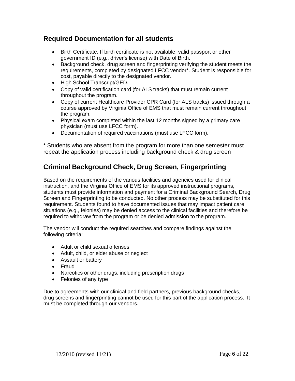## **Required Documentation for all students**

- Birth Certificate. If birth certificate is not available, valid passport or other government ID (e.g., driver's license) with Date of Birth.
- Background check, drug screen and fingerprinting verifying the student meets the requirements, completed by designated LFCC vendor\*. Student is responsible for cost, payable directly to the designated vendor.
- High School Transcript/GED.
- Copy of valid certification card (for ALS tracks) that must remain current throughout the program.
- Copy of current Healthcare Provider CPR Card (for ALS tracks) issued through a course approved by Virginia Office of EMS that must remain current throughout the program.
- Physical exam completed within the last 12 months signed by a primary care physician (must use LFCC form).
- Documentation of required vaccinations (must use LFCC form).

\* Students who are absent from the program for more than one semester must repeat the application process including background check & drug screen

# <span id="page-5-0"></span>**Criminal Background Check, Drug Screen, Fingerprinting**

Based on the requirements of the various facilities and agencies used for clinical instruction, and the Virginia Office of EMS for its approved instructional programs, students must provide information and payment for a Criminal Background Search, Drug Screen and Fingerprinting to be conducted. No other process may be substituted for this requirement. Students found to have documented issues that may impact patient care situations (e.g., felonies) may be denied access to the clinical facilities and therefore be required to withdraw from the program or be denied admission to the program.

The vendor will conduct the required searches and compare findings against the following criteria:

- Adult or child sexual offenses
- Adult, child, or elder abuse or neglect
- Assault or battery
- Fraud
- Narcotics or other drugs, including prescription drugs
- Felonies of any type

Due to agreements with our clinical and field partners, previous background checks, drug screens and fingerprinting cannot be used for this part of the application process. It must be completed through our vendors.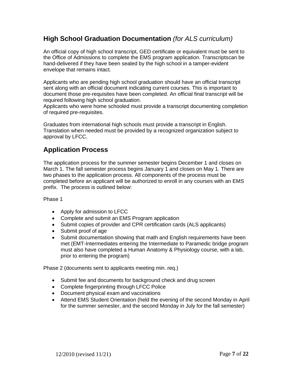## **High School Graduation Documentation** *(for ALS curriculum)*

An official copy of high school transcript, GED certificate or equivalent must be sent to the Office of Admissions to complete the EMS program application. Transcriptscan be hand-delivered if they have been sealed by the high school in a tamper-evident envelope that remains intact*.*

Applicants who are pending high school graduation should have an official transcript sent along with an official document indicating current courses. This is important to document those pre-requisites have been completed. An official final transcript will be required following high school graduation.

Applicants who were home schooled must provide a transcript documenting completion of required pre-requisites.

Graduates from international high schools must provide a transcript in English. Translation when needed must be provided by a recognized organization subject to approval by LFCC.

## <span id="page-6-0"></span>**Application Process**

The application process for the summer semester begins December 1 and closes on March 1. The fall semester process begins January 1 and closes on May 1. There are two phases to the application process. All components of the process must be completed before an applicant will be authorized to enroll in any courses with an EMS prefix. The process is outlined below:

#### Phase 1

- Apply for admission to LFCC
- Complete and submit an EMS Program application
- Submit copies of provider and CPR certification cards (ALS applicants)
- Submit proof of age
- Submit documentation showing that math and English requirements have been met (EMT-Intermediates entering the Intermediate to Paramedic bridge program must also have completed a Human Anatomy & Physiology course, with a lab, prior to entering the program)

Phase 2 (documents sent to applicants meeting min. req.)

- Submit fee and documents for background check and drug screen
- Complete fingerprinting through LFCC Police
- Document physical exam and vaccinations
- Attend EMS Student Orientation (held the evening of the second Monday in April for the summer semester, and the second Monday in July for the fall semester)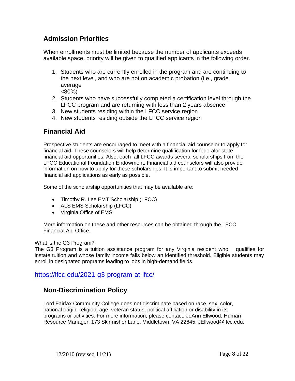# **Admission Priorities**

When enrollments must be limited because the number of applicants exceeds available space, priority will be given to qualified applicants in the following order.

- 1. Students who are currently enrolled in the program and are continuing to the next level, and who are not on academic probation (i.e., grade average <80%)
- 2. Students who have successfully completed a certification level through the LFCC program and are returning with less than 2 years absence
- 3. New students residing within the LFCC service region
- 4. New students residing outside the LFCC service region

# <span id="page-7-0"></span>**Financial Aid**

Prospective students are encouraged to meet with a financial aid counselor to apply for financial aid. These counselors will help determine qualification for federalor state financial aid opportunities. Also, each fall LFCC awards several scholarships from the LFCC Educational Foundation Endowment. Financial aid counselors will also provide information on how to apply for these scholarships. It is important to submit needed financial aid applications as early as possible.

Some of the scholarship opportunities that may be available are:

- Timothy R. Lee EMT Scholarship (LFCC)
- ALS EMS Scholarship (LFCC)
- Virginia Office of EMS

More information on these and other resources can be obtained through the LFCC Financial Aid Office.

#### What is the G3 Program?

The G3 Program is a tuition assistance program for any Virginia resident who qualifies for instate tuition and whose family income falls below an identified threshold. Eligible students may enroll in designated programs leading to jobs in high-demand fields.

### <https://lfcc.edu/2021-g3-program-at-lfcc/>

# **Non-Discrimination Policy**

Lord Fairfax Community College does not discriminate based on race, sex, color, national origin, religion, age, veteran status, political affiliation or disability in its programs or activities. For more information, please contact: JoAnn Ellwood, Human Resource Manager, 173 Skirmisher Lane, Middletown, VA 22645, [JEllwood@lfcc.edu.](mailto:JEllwood@lfcc.edu)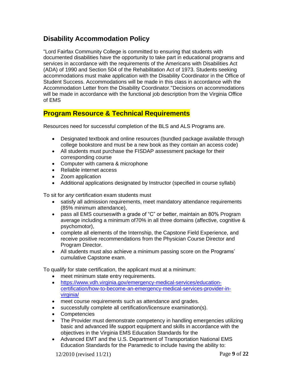# <span id="page-8-0"></span>**Disability Accommodation Policy**

"Lord Fairfax Community College is committed to ensuring that students with documented disabilities have the opportunity to take part in educational programs and services in accordance with the requirements of the Americans with Disabilities Act (ADA) of 1990 and Section 504 of the Rehabilitation Act of 1973. Students seeking accommodations must make application with the Disability Coordinator in the Office of Student Success. Accommodations will be made in this class in accordance with the Accommodation Letter from the Disability Coordinator."Decisions on accommodations will be made in accordance with the functional job description from the Virginia Office of EMS

## **Program Resource & Technical Requirements**

Resources need for successful completion of the BLS and ALS Programs are.

- Designated textbook and online resources (bundled package available through college bookstore and must be a new book as they contain an access code)
- All students must purchase the FISDAP assessment package for their corresponding course
- Computer with camera & microphone
- Reliable internet access
- Zoom application
- Additional applications designated by Instructor (specified in course syllabi)

To sit for *any* certification exam students must

- satisfy all admission requirements, meet mandatory attendance requirements (85% minimum attendance),
- pass all EMS courseswith a grade of "C" or better, maintain an 80% Program average including a minimum of70% in all three domains (affective, cognitive & psychomotor),
- complete all elements of the Internship, the Capstone Field Experience, and receive positive recommendations from the Physician Course Director and Program Director.
- All students must also achieve a minimum passing score on the Programs' cumulative Capstone exam.

To qualify for state certification, the applicant must at a minimum:

- meet minimum state entry requirements.
- [https://www.vdh.virginia.gov/emergency-medical-services/education](https://www.vdh.virginia.gov/emergency-medical-services/education-certification/how-to-become-an-emergency-medical-services-provider-in-virginia/)[certification/how-to-become-an-emergency-medical-services-provider-in](https://www.vdh.virginia.gov/emergency-medical-services/education-certification/how-to-become-an-emergency-medical-services-provider-in-virginia/)[virginia/](https://www.vdh.virginia.gov/emergency-medical-services/education-certification/how-to-become-an-emergency-medical-services-provider-in-virginia/)
- meet course requirements such as attendance and grades.
- successfully complete all certification/licensure examination(s).
- Competencies
- The Provider must demonstrate competency in handling emergencies utilizing basic and advanced life support equipment and skills in accordance with the objectives in the Virginia EMS Education Standards for the
- Advanced EMT and the U.S. Department of Transportation National EMS Education Standards for the Paramedic to include having the ability to:

12/2010 (revised 11/21) Page **9** of **22**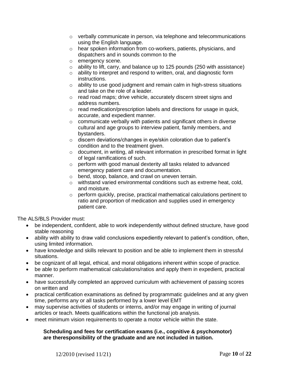- $\circ$  verbally communicate in person, via telephone and telecommunications using the English language.
- o hear spoken information from co-workers, patients, physicians, and dispatchers and in sounds common to the
- o emergency scene.
- $\circ$  ability to lift, carry, and balance up to 125 pounds (250 with assistance)
- o ability to interpret and respond to written, oral, and diagnostic form instructions.
- o ability to use good judgment and remain calm in high-stress situations and take on the role of a leader.
- o read road maps; drive vehicle, accurately discern street signs and address numbers.
- o read medication/prescription labels and directions for usage in quick, accurate, and expedient manner.
- o communicate verbally with patients and significant others in diverse cultural and age groups to interview patient, family members, and bystanders.
- o discern deviations/changes in eye/skin coloration due to patient's condition and to the treatment given.
- o document, in writing, all relevant information in prescribed format in light of legal ramifications of such.
- o perform with good manual dexterity all tasks related to advanced emergency patient care and documentation.
- o bend, stoop, balance, and crawl on uneven terrain.
- o withstand varied environmental conditions such as extreme heat, cold, and moisture.
- o perform quickly, precise, practical mathematical calculations pertinent to ratio and proportion of medication and supplies used in emergency patient care.

The ALS/BLS Provider must:

- be independent, confident, able to work independently without defined structure, have good stable reasoning
- ability with ability to draw valid conclusions expediently relevant to patient's condition, often, using limited information.
- have knowledge and skills relevant to position and be able to implement them in stressful situations.
- be cognizant of all legal, ethical, and moral obligations inherent within scope of practice.
- be able to perform mathematical calculations/ratios and apply them in expedient, practical manner.
- have successfully completed an approved curriculum with achievement of passing scores on written and
- practical certification examinations as defined by programmatic guidelines and at any given time, performs any or all tasks performed by a lower level EMT
- may supervise activities of students or interns, and/or may engage in writing of journal articles or teach. Meets qualifications within the functional job analysis.
- meet minimum vision requirements to operate a motor vehicle within the state.

#### **Scheduling and fees for certification exams (i.e., cognitive & psychomotor) are theresponsibility of the graduate and are not included in tuition.**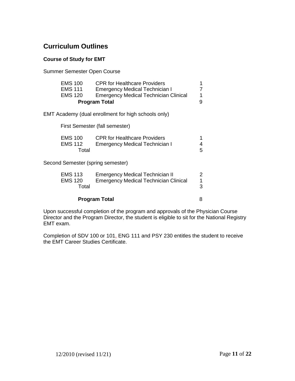## <span id="page-10-0"></span>**Curriculum Outlines**

#### **Course of Study for EMT**

Summer Semester Open Course

| <b>EMS 100</b>       | <b>CPR for Healthcare Providers</b>          |   |
|----------------------|----------------------------------------------|---|
| <b>EMS 111</b>       | <b>Emergency Medical Technician I</b>        |   |
| <b>EMS 120</b>       | <b>Emergency Medical Technician Clinical</b> | 1 |
| <b>Program Total</b> |                                              | q |

EMT Academy (dual enrollment for high schools only)

First Semester (fall semester)

| <b>EMS 100</b> | <b>CPR for Healthcare Providers</b>   |  |
|----------------|---------------------------------------|--|
| <b>EMS 112</b> | <b>Emergency Medical Technician I</b> |  |
| Total          |                                       |  |

Second Semester (spring semester)

| <b>EMS 113</b> | <b>Emergency Medical Technician II</b>       |  |
|----------------|----------------------------------------------|--|
| <b>EMS 120</b> | <b>Emergency Medical Technician Clinical</b> |  |
| Total          |                                              |  |
|                |                                              |  |

#### **Program Total** 8

Upon successful completion of the program and approvals of the Physician Course Director and the Program Director, the student is eligible to sit for the National Registry EMT exam.

Completion of SDV 100 or 101, ENG 111 and PSY 230 entitles the student to receive the EMT Career Studies Certificate.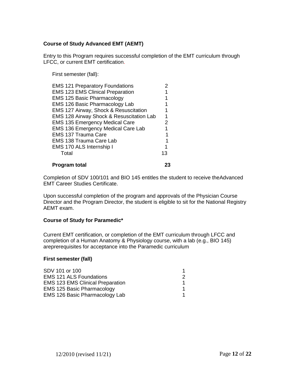#### **Course of Study Advanced EMT (AEMT)**

Entry to this Program requires successful completion of the EMT curriculum through LFCC, or current EMT certification.

First semester (fall):

| <b>Program total</b>                      |    |
|-------------------------------------------|----|
| Total                                     | 13 |
| EMS 170 ALS Internship I                  |    |
| <b>EMS 138 Trauma Care Lab</b>            |    |
| EMS 137 Trauma Care                       |    |
| <b>EMS 136 Emergency Medical Care Lab</b> |    |
| <b>EMS 135 Emergency Medical Care</b>     | 2  |
| EMS 128 Airway Shock & Resuscitation Lab  |    |
| EMS 127 Airway, Shock & Resuscitation     |    |
| EMS 126 Basic Pharmacology Lab            |    |
| <b>EMS 125 Basic Pharmacology</b>         |    |
| <b>EMS 123 EMS Clinical Preparation</b>   |    |
| <b>EMS 121 Preparatory Foundations</b>    |    |

Completion of SDV 100/101 and BIO 145 entitles the student to receive theAdvanced EMT Career Studies Certificate.

Upon successful completion of the program and approvals of the Physician Course Director and the Program Director, the student is eligible to sit for the National Registry AEMT exam.

#### **Course of Study for Paramedic\***

Current EMT certification, or completion of the EMT curriculum through LFCC and completion of a Human Anatomy & Physiology course, with a lab (e.g., BIO 145) areprerequisites for acceptance into the Paramedic curriculum

#### **First semester (fall)**

| 2 |
|---|
|   |
|   |
|   |
|   |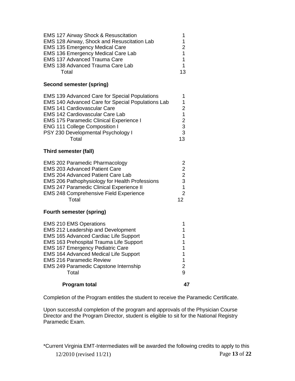| <b>EMS 127 Airway Shock &amp; Resuscitation</b> |    |
|-------------------------------------------------|----|
| EMS 128 Airway, Shock and Resuscitation Lab     | 1  |
| <b>EMS 135 Emergency Medical Care</b>           |    |
| <b>EMS 136 Emergency Medical Care Lab</b>       |    |
| <b>EMS 137 Advanced Trauma Care</b>             | 1  |
| <b>EMS 138 Advanced Trauma Care Lab</b>         | 1  |
| Total                                           | 13 |

#### **Second semester (spring)**

| <b>EMS 139 Advanced Care for Special Populations</b> |    |
|------------------------------------------------------|----|
| EMS 140 Advanced Care for Special Populations Lab    |    |
| <b>EMS 141 Cardiovascular Care</b>                   |    |
| <b>EMS 142 Cardiovascular Care Lab</b>               |    |
| <b>EMS 175 Paramedic Clinical Experience I</b>       | 2. |
| <b>ENG 111 College Composition I</b>                 | 3  |
| PSY 230 Developmental Psychology I                   | 3  |
| ั∩tal                                                | 13 |

#### **Third semester (fall)**

| <b>EMS 202 Paramedic Pharmacology</b>                 |    |
|-------------------------------------------------------|----|
| <b>EMS 203 Advanced Patient Care</b>                  | 2  |
| <b>EMS 204 Advanced Patient Care Lab</b>              | 2  |
| <b>EMS 206 Pathophysiology for Health Professions</b> | 3  |
| <b>EMS 247 Paramedic Clinical Experience II</b>       |    |
| <b>EMS 248 Comprehensive Field Experience</b>         | 2  |
| Total                                                 | 12 |

#### **Fourth semester (spring)**

| <b>EMS 210 EMS Operations</b>                |   |
|----------------------------------------------|---|
| EMS 212 Leadership and Development           |   |
| <b>EMS 165 Advanced Cardiac Life Support</b> |   |
| EMS 163 Prehospital Trauma Life Support      |   |
| <b>EMS 167 Emergency Pediatric Care</b>      |   |
| <b>EMS 164 Advanced Medical Life Support</b> |   |
| <b>EMS 216 Paramedic Review</b>              |   |
| <b>EMS 249 Paramedic Capstone Internship</b> |   |
| Total                                        | 9 |
| <b>Program total</b>                         |   |

Completion of the Program entitles the student to receive the Paramedic Certificate.

Upon successful completion of the program and approvals of the Physician Course Director and the Program Director, student is eligible to sit for the National Registry Paramedic Exam.

12/2010 (revised 11/21) Page **13** of **22** \*Current Virginia EMT-Intermediates will be awarded the following credits to apply to this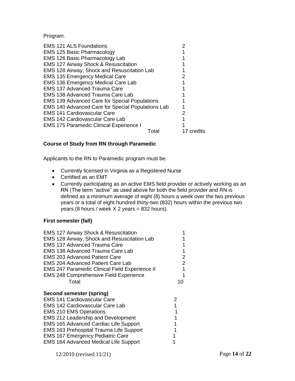Program.

| 2          |
|------------|
|            |
|            |
|            |
|            |
|            |
| 2          |
|            |
|            |
| 17 credits |
|            |

#### **Course of Study from RN through Paramedic**

Applicants to the RN to Paramedic program must be:

- Currently licensed in Virginia as a Registered Nurse
- Certified as an EMT
- Currently participating as an active EMS field provider or actively working as an RN (The term "active" as used above for both the field provider and RN is defined as a minimum average of eight (8) hours a week over the two previous years or a total of eight hundred thirty-two (832) hours within the previous two years (8 hours / week X 2 years = 832 hours).

#### **First semester (fall)**

| <b>EMS 127 Airway Shock &amp; Resuscitation</b><br>EMS 128 Airway, Shock and Resuscitation Lab<br><b>EMS 137 Advanced Trauma Care</b><br><b>EMS 138 Advanced Trauma Care Lab</b><br><b>EMS 203 Advanced Patient Care</b><br><b>EMS 204 Advanced Patient Care Lab</b><br><b>EMS 247 Paramedic Clinical Field Experience II</b>                                         | 2<br>2 |
|-----------------------------------------------------------------------------------------------------------------------------------------------------------------------------------------------------------------------------------------------------------------------------------------------------------------------------------------------------------------------|--------|
| <b>EMS 248 Comprehensive Field Experience</b>                                                                                                                                                                                                                                                                                                                         |        |
| Total                                                                                                                                                                                                                                                                                                                                                                 | 10     |
| Second semester (spring)<br><b>EMS 141 Cardiovascular Care</b><br><b>EMS 142 Cardiovascular Care Lab</b><br><b>EMS 210 EMS Operations</b><br>EMS 212 Leadership and Development<br>EMS 165 Advanced Cardiac Life Support<br><b>EMS 163 Prehospital Trauma Life Support</b><br><b>EMS 167 Emergency Pediatric Care</b><br><b>EMS 164 Advanced Medical Life Support</b> | 2<br>1 |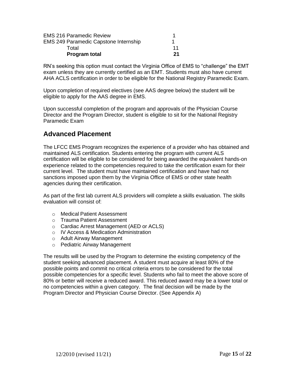| <b>EMS 216 Paramedic Review</b>              |    |
|----------------------------------------------|----|
| <b>EMS 249 Paramedic Capstone Internship</b> |    |
| Total                                        | 11 |
| <b>Program total</b>                         | 21 |

RN's seeking this option must contact the Virginia Office of EMS to "challenge" the EMT exam unless they are currently certified as an EMT. Students must also have current AHA ACLS certification in order to be eligible for the National Registry Paramedic Exam.

Upon completion of required electives (see AAS degree below) the student will be eligible to apply for the AAS degree in EMS.

Upon successful completion of the program and approvals of the Physician Course Director and the Program Director, student is eligible to sit for the National Registry Paramedic Exam

## **Advanced Placement**

The LFCC EMS Program recognizes the experience of a provider who has obtained and maintained ALS certification. Students entering the program with current ALS certification will be eligible to be considered for being awarded the equivalent hands-on experience related to the competencies required to take the certification exam for their current level. The student must have maintained certification and have had not sanctions imposed upon them by the Virginia Office of EMS or other state health agencies during their certification.

As part of the first lab current ALS providers will complete a skills evaluation. The skills evaluation will consist of:

- o Medical Patient Assessment
- o Trauma Patient Assessment
- o Cardiac Arrest Management (AED or ACLS)
- o IV Access & Medication Administration
- o Adult Airway Management
- o Pediatric Airway Management

The results will be used by the Program to determine the existing competency of the student seeking advanced placement. A student must acquire at least 80% of the possible points and commit no critical criteria errors to be considered for the total possible competencies for a specific level. Students who fail to meet the above score of 80% or better will receive a reduced award. This reduced award may be a lower total or no competencies within a given category. The final decision will be made by the Program Director and Physician Course Director. (See Appendix A)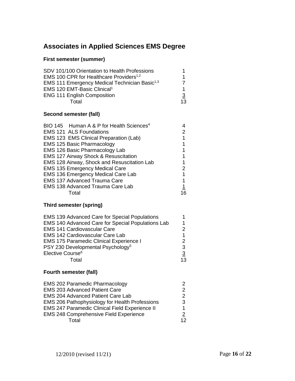# **Associates in Applied Sciences EMS Degree**

## **First semester (summer)**

| SDV 101/100 Orientation to Health Professions             |                |
|-----------------------------------------------------------|----------------|
| EMS 100 CPR for Healthcare Providers <sup>1,2</sup>       |                |
| EMS 111 Emergency Medical Technician Basic <sup>1,3</sup> |                |
| EMS 120 EMT-Basic Clinical <sup>1</sup>                   |                |
| <b>ENG 111 English Composition</b>                        | $\overline{3}$ |
| Total                                                     | 13             |

#### **Second semester (fall)**

| BIO 145 Human A & P for Health Sciences <sup>4</sup> |           |
|------------------------------------------------------|-----------|
| <b>EMS 121 ALS Foundations</b>                       |           |
| EMS 123 EMS Clinical Preparation (Lab)               |           |
| <b>EMS 125 Basic Pharmacology</b>                    |           |
| EMS 126 Basic Pharmacology Lab                       |           |
| <b>EMS 127 Airway Shock &amp; Resuscitation</b>      |           |
| EMS 128 Airway, Shock and Resuscitation Lab          |           |
| <b>EMS 135 Emergency Medical Care</b>                |           |
| EMS 136 Emergency Medical Care Lab                   |           |
| <b>EMS 137 Advanced Trauma Care</b>                  |           |
| <b>EMS 138 Advanced Trauma Care Lab</b>              | <u> 1</u> |
| Total                                                |           |

#### **Third semester (spring)**

| <b>EMS 139 Advanced Care for Special Populations</b> |    |
|------------------------------------------------------|----|
| EMS 140 Advanced Care for Special Populations Lab    | 1  |
| <b>EMS 141 Cardiovascular Care</b>                   | 2  |
| <b>EMS 142 Cardiovascular Care Lab</b>               | 1  |
| <b>EMS 175 Paramedic Clinical Experience I</b>       |    |
| PSY 230 Developmental Psychology <sup>5</sup>        | 3  |
| Elective Course <sup>6</sup>                         | 3  |
| ั∩tal                                                | 13 |

#### **Fourth semester (fall)**

| <b>EMS 202 Paramedic Pharmacology</b>                 |                |
|-------------------------------------------------------|----------------|
| <b>EMS 203 Advanced Patient Care</b>                  |                |
| <b>EMS 204 Advanced Patient Care Lab</b>              | 2.             |
| <b>EMS 206 Pathophysiology for Health Professions</b> | 3              |
| <b>EMS 247 Paramedic Clinical Field Experience II</b> |                |
| <b>EMS 248 Comprehensive Field Experience</b>         | $\overline{2}$ |
| Total                                                 | 12             |
|                                                       |                |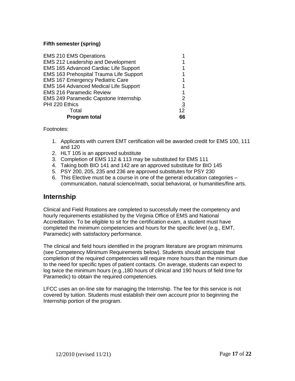#### **Fifth semester (spring)**

| <b>EMS 210 EMS Operations</b>                |                |
|----------------------------------------------|----------------|
| EMS 212 Leadership and Development           |                |
| EMS 165 Advanced Cardiac Life Support        |                |
| EMS 163 Prehospital Trauma Life Support      |                |
| EMS 167 Emergency Pediatric Care             |                |
| <b>EMS 164 Advanced Medical Life Support</b> |                |
| <b>EMS 216 Paramedic Review</b>              |                |
| <b>EMS 249 Paramedic Capstone Internship</b> | 2              |
| PHI 220 Ethics                               | $\overline{3}$ |
| Total                                        | 12             |
| <b>Program total</b>                         | 66             |

Footnotes:

- 1. Applicants with current EMT certification will be awarded credit for EMS 100, 111 and 120
- 2. HLT 105 is an approved substitute
- 3. Completion of EMS 112 & 113 may be substituted for EMS 111
- 4. Taking both BIO 141 and 142 are an approved substitute for BIO 145
- 5. PSY 200, 205, 235 and 236 are approved substitutes for PSY 230
- 6. This Elective must be a course in one of the general education categories communication, natural science/math, social behavioral, or humanities/fine arts.

## <span id="page-16-0"></span>**Internship**

Clinical and Field Rotations are completed to successfully meet the competency and hourly requirements established by the Virginia Office of EMS and National Accreditation. To be eligible to sit for the certification exam, a student must have completed the minimum competencies and hours for the specific level (e.g., EMT, Paramedic) with satisfactory performance.

The clinical and field hours identified in the program literature are program minimums (see Competency Minimum Requirements below). Students should anticipate that completion of the required competencies will require more hours than the minimum due to the need for specific types of patient contacts. On average, students can expect to log twice the minimum hours (e.g.,180 hours of clinical and 190 hours of field time for Paramedic) to obtain the required competencies.

LFCC uses an on-line site for managing the Internship. The fee for this service is not covered by tuition. Students must establish their own account prior to beginning the Internship portion of the program.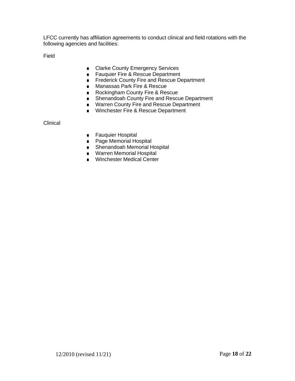LFCC currently has affiliation agreements to conduct clinical and field rotations with the following agencies and facilities:

Field

- Clarke County Emergency Services
- Fauquier Fire & Rescue Department
- Frederick County Fire and Rescue Department
- Manassas Park Fire & Rescue
- Rockingham County Fire & Rescue
- Shenandoah County Fire and Rescue Department
- Warren County Fire and Rescue Department
- Winchester Fire & Rescue Department

**Clinical** 

- Fauquier Hospital
- Page Memorial Hospital
- Shenandoah Memorial Hospital
- Warren Memorial Hospital
- Winchester Medical Center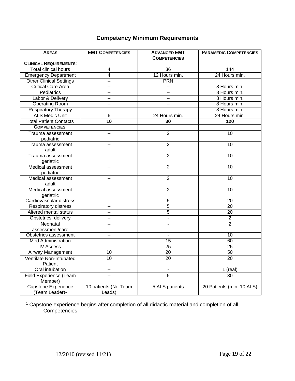## **Competency Minimum Requirements**

| <b>AREAS</b>                                      | <b>EMT COMPETENCIES</b>        | <b>ADVANCED EMT</b><br><b>COMPETENCIES</b> | <b>PARAMEDIC COMPETENCIES</b> |
|---------------------------------------------------|--------------------------------|--------------------------------------------|-------------------------------|
| <b>CLINICAL REQUIREMENTS:</b>                     |                                |                                            |                               |
| <b>Total clinical hours</b>                       | 4                              | 36                                         | 144                           |
| <b>Emergency Department</b>                       | 4                              | 12 Hours min.                              | 24 Hours min.                 |
| Other Clinical Settings                           | -−                             | PRN                                        |                               |
| <b>Critical Care Area</b>                         | -−                             |                                            | 8 Hours min.                  |
| <b>Pediatrics</b>                                 | --                             | $\overline{a}$                             | 8 Hours min.                  |
| Labor & Delivery                                  | --                             | $-$                                        | 8 Hours min.                  |
| <b>Operating Room</b>                             | $-$                            | $-$                                        | 8 Hours min.                  |
| <b>Respiratory Therapy</b>                        | --                             |                                            | 8 Hours min.                  |
| <b>ALS Medic Unit</b>                             | $\overline{6}$                 | 24 Hours min.                              | 24 Hours min.                 |
| <b>Total Patient Contacts</b>                     | 10                             | 30                                         | 120                           |
| <b>COMPETENCIES:</b>                              |                                |                                            |                               |
| Trauma assessment<br>pediatric                    | -−                             | $\overline{2}$                             | 10                            |
| Trauma assessment<br>adult                        | $\overline{\phantom{a}}$       | $\overline{2}$                             | 10                            |
| Trauma assessment<br>geriatric                    | $\overline{a}$                 | $\overline{2}$                             | 10                            |
| Medical assessment<br>pediatric                   | --                             | $\overline{2}$                             | 10                            |
| Medical assessment<br>adult                       |                                | $\overline{2}$                             | 10                            |
| Medical assessment<br>geriatric                   |                                | $\overline{2}$                             | 10                            |
| Cardiovascular distress                           | $\overline{a}$                 | $\overline{5}$                             | $\overline{20}$               |
| <b>Respiratory distress</b>                       |                                | 5                                          | $\overline{20}$               |
| Altered mental status                             | $-$                            | 5                                          | $\overline{20}$               |
| Obstetrics: delivery                              | --                             |                                            | $\overline{2}$                |
| Neonatal<br>assessment/care                       | --                             |                                            | $\overline{2}$                |
| Obstetrics assessment                             | $\overline{\phantom{a}}$       | $\mathbf{r}$                               | 10                            |
| <b>Med Administration</b>                         | --                             | 15                                         | 60                            |
| <b>IV Access</b>                                  | $\overline{\phantom{a}}$       | $\overline{25}$                            | $\overline{25}$               |
| Airway Management                                 | 10                             | $\overline{20}$                            | 50                            |
| Ventilate Non-Intubated<br>Patient                | 10                             | $\overline{20}$                            | $\overline{20}$               |
| Oral intubation                                   | --                             | $\overline{\phantom{a}}$                   | 1 (real)                      |
| Field Experience (Team<br>Member)                 |                                | 5                                          | 30                            |
| Capstone Experience<br>(Team Leader) <sup>1</sup> | 10 patients (No Team<br>Leads) | 5 ALS patients                             | 20 Patients (min. 10 ALS)     |

 $1$  Capstone experience begins after completion of all didactic material and completion of all Competencies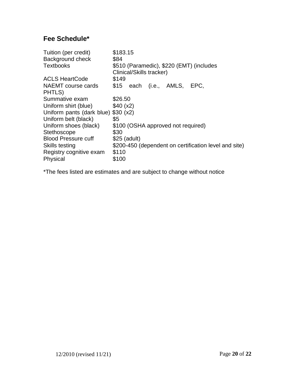# <span id="page-19-0"></span>**Fee Schedule\***

| \$183.15<br>\$84<br>\$510 (Paramedic), \$220 (EMT) (includes<br>Clinical/Skills tracker) |
|------------------------------------------------------------------------------------------|
| \$149                                                                                    |
| \$15 each (i.e., AMLS, EPC,                                                              |
| \$26.50                                                                                  |
| \$40 (x2)                                                                                |
| Uniform pants (dark blue) \$30 (x2)                                                      |
| \$5                                                                                      |
| \$100 (OSHA approved not required)                                                       |
| \$30                                                                                     |
| $$25$ (adult)                                                                            |
| \$200-450 (dependent on certification level and site)                                    |
| \$110                                                                                    |
| \$100                                                                                    |
|                                                                                          |

\*The fees listed are estimates and are subject to change without notice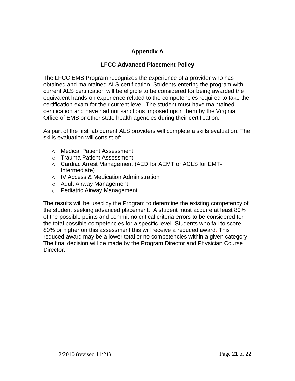## **Appendix A**

## **LFCC Advanced Placement Policy**

<span id="page-20-0"></span>The LFCC EMS Program recognizes the experience of a provider who has obtained and maintained ALS certification. Students entering the program with current ALS certification will be eligible to be considered for being awarded the equivalent hands-on experience related to the competencies required to take the certification exam for their current level. The student must have maintained certification and have had not sanctions imposed upon them by the Virginia Office of EMS or other state health agencies during their certification.

As part of the first lab current ALS providers will complete a skills evaluation. The skills evaluation will consist of:

- o Medical Patient Assessment
- o Trauma Patient Assessment
- o Cardiac Arrest Management (AED for AEMT or ACLS for EMT-Intermediate)
- o IV Access & Medication Administration
- o Adult Airway Management
- o Pediatric Airway Management

The results will be used by the Program to determine the existing competency of the student seeking advanced placement. A student must acquire at least 80% of the possible points and commit no critical criteria errors to be considered for the total possible competencies for a specific level. Students who fail to score 80% or higher on this assessment this will receive a reduced award. This reduced award may be a lower total or no competencies within a given category. The final decision will be made by the Program Director and Physician Course Director.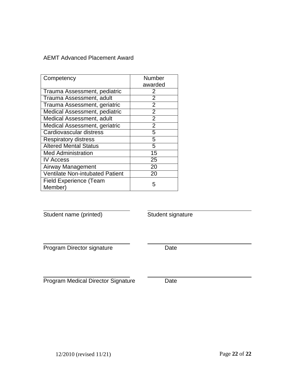## AEMT Advanced Placement Award

| Competency                               | Number         |
|------------------------------------------|----------------|
|                                          | awarded        |
| Trauma Assessment, pediatric             | 2              |
| Trauma Assessment, adult                 | $\overline{2}$ |
| Trauma Assessment, geriatric             | $\overline{2}$ |
| Medical Assessment, pediatric            | $\overline{2}$ |
| <b>Medical Assessment, adult</b>         | $\overline{2}$ |
| Medical Assessment, geriatric            | $\overline{2}$ |
| Cardiovascular distress                  | 5              |
| <b>Respiratory distress</b>              | 5              |
| <b>Altered Mental Status</b>             | 5              |
| <b>Med Administration</b>                | 15             |
| <b>IV Access</b>                         | 25             |
| Airway Management                        | 20             |
| Ventilate Non-intubated Patient          | 20             |
| <b>Field Experience (Team</b><br>Member) | 5              |

Student name (printed) Student signature

Program Director signature Date

Program Medical Director Signature Date